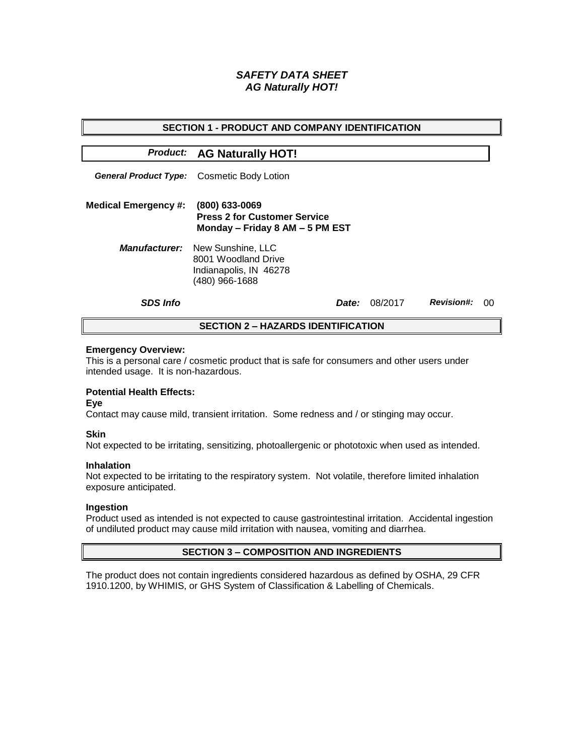# *SAFETY DATA SHEET AG Naturally HOT!*

| <b>SECTION 1 - PRODUCT AND COMPANY IDENTIFICATION</b> |                                                                                                           |       |         |                   |    |  |
|-------------------------------------------------------|-----------------------------------------------------------------------------------------------------------|-------|---------|-------------------|----|--|
|                                                       | <b>Product: AG Naturally HOT!</b>                                                                         |       |         |                   |    |  |
|                                                       | <b>General Product Type:</b> Cosmetic Body Lotion                                                         |       |         |                   |    |  |
| <b>Medical Emergency #:</b>                           | $(800)$ 633-0069<br><b>Press 2 for Customer Service</b><br>Monday - Friday 8 AM - 5 PM EST                |       |         |                   |    |  |
|                                                       | <b>Manufacturer:</b> New Sunshine, LLC<br>8001 Woodland Drive<br>Indianapolis, IN 46278<br>(480) 966-1688 |       |         |                   |    |  |
| <b>SDS Info</b>                                       |                                                                                                           | Date: | 08/2017 | <b>Revision#:</b> | ററ |  |
| <b>SECTION 2 - HAZARDS IDENTIFICATION</b>             |                                                                                                           |       |         |                   |    |  |

#### **Emergency Overview:**

This is a personal care / cosmetic product that is safe for consumers and other users under intended usage. It is non-hazardous.

# **Potential Health Effects:**

**Eye**

Contact may cause mild, transient irritation. Some redness and / or stinging may occur.

### **Skin**

Not expected to be irritating, sensitizing, photoallergenic or phototoxic when used as intended.

#### **Inhalation**

Not expected to be irritating to the respiratory system. Not volatile, therefore limited inhalation exposure anticipated.

### **Ingestion**

Product used as intended is not expected to cause gastrointestinal irritation. Accidental ingestion of undiluted product may cause mild irritation with nausea, vomiting and diarrhea.

### **SECTION 3 – COMPOSITION AND INGREDIENTS**

The product does not contain ingredients considered hazardous as defined by OSHA, 29 CFR 1910.1200, by WHIMIS, or GHS System of Classification & Labelling of Chemicals.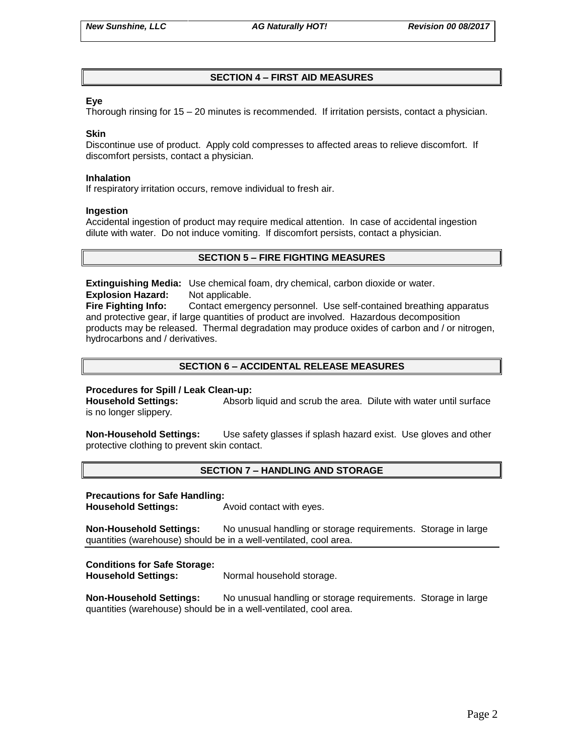# **SECTION 4 – FIRST AID MEASURES**

### **Eye**

Thorough rinsing for 15 – 20 minutes is recommended. If irritation persists, contact a physician.

### **Skin**

Discontinue use of product. Apply cold compresses to affected areas to relieve discomfort. If discomfort persists, contact a physician.

#### **Inhalation**

If respiratory irritation occurs, remove individual to fresh air.

### **Ingestion**

Accidental ingestion of product may require medical attention. In case of accidental ingestion dilute with water. Do not induce vomiting. If discomfort persists, contact a physician.

### **SECTION 5 – FIRE FIGHTING MEASURES**

**Extinguishing Media:** Use chemical foam, dry chemical, carbon dioxide or water. **Explosion Hazard:** Not applicable.

**Fire Fighting Info:** Contact emergency personnel. Use self-contained breathing apparatus and protective gear, if large quantities of product are involved. Hazardous decomposition products may be released. Thermal degradation may produce oxides of carbon and / or nitrogen, hydrocarbons and / derivatives.

# **SECTION 6 – ACCIDENTAL RELEASE MEASURES**

### **Procedures for Spill / Leak Clean-up:**

**Household Settings:** Absorb liquid and scrub the area. Dilute with water until surface is no longer slippery.

**Non-Household Settings:** Use safety glasses if splash hazard exist. Use gloves and other protective clothing to prevent skin contact.

### **SECTION 7 – HANDLING AND STORAGE**

#### **Precautions for Safe Handling:**

**Household Settings:** Avoid contact with eyes.

**Non-Household Settings:** No unusual handling or storage requirements. Storage in large quantities (warehouse) should be in a well-ventilated, cool area.

### **Conditions for Safe Storage:**

**Household Settings:** Normal household storage.

**Non-Household Settings:** No unusual handling or storage requirements. Storage in large quantities (warehouse) should be in a well-ventilated, cool area.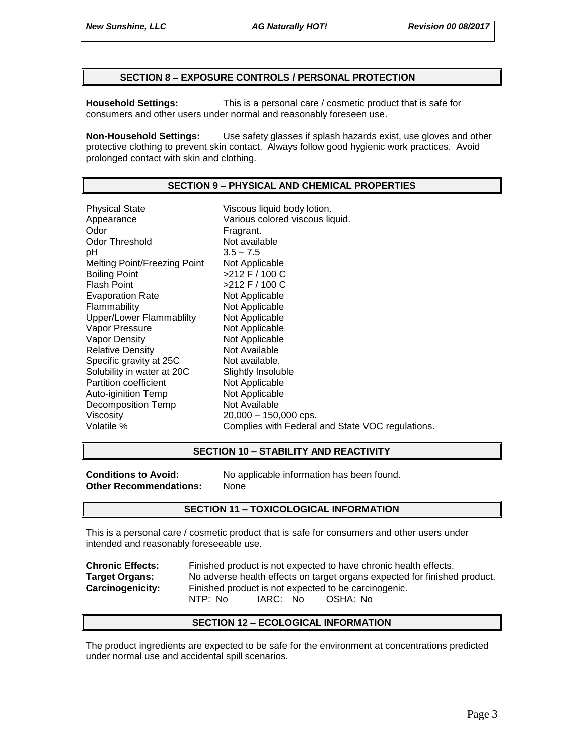### **SECTION 8 – EXPOSURE CONTROLS / PERSONAL PROTECTION**

**Household Settings:** This is a personal care / cosmetic product that is safe for consumers and other users under normal and reasonably foreseen use.

**Non-Household Settings:** Use safety glasses if splash hazards exist, use gloves and other protective clothing to prevent skin contact. Always follow good hygienic work practices. Avoid prolonged contact with skin and clothing.

### **SECTION 9 – PHYSICAL AND CHEMICAL PROPERTIES**

Physical State Viscous liquid body lotion. Appearance Various colored viscous liquid.<br>
Odor Color Color Fragrant. Odor Threshold Not available pH 3.5 – 7.5 Melting Point/Freezing Point Not Applicable Boiling Point  $>212$  F / 100 C Flash Point  $>212$  F / 100 C Evaporation Rate Not Applicable Flammability Not Applicable Upper/Lower Flammablilty Not Applicable Vapor Pressure Not Applicable Vapor Density Not Applicable Relative Density Not Available Specific gravity at 25C Not available. Solubility in water at 20C Slightly Insoluble<br>
Partition coefficient
Subsetted Not Applicable Partition coefficient<br>
Auto-iginition Temp<br>
Not Applicable Auto-iginition Temp Decomposition Temp Not Available Viscosity 20,000 – 150,000 cps. Volatile % Complies with Federal and State VOC regulations.

#### **SECTION 10 – STABILITY AND REACTIVITY**

**Other Recommendations:** None

**Conditions to Avoid:** No applicable information has been found.

#### **SECTION 11 – TOXICOLOGICAL INFORMATION**

This is a personal care / cosmetic product that is safe for consumers and other users under intended and reasonably foreseeable use.

| <b>Chronic Effects:</b> | Finished product is not expected to have chronic health effects.          |  |  |  |  |
|-------------------------|---------------------------------------------------------------------------|--|--|--|--|
| <b>Target Organs:</b>   | No adverse health effects on target organs expected for finished product. |  |  |  |  |
| <b>Carcinogenicity:</b> | Finished product is not expected to be carcinogenic.                      |  |  |  |  |
|                         | NTP: No<br>IARC: No<br>OSHA: No                                           |  |  |  |  |

#### **SECTION 12 – ECOLOGICAL INFORMATION**

The product ingredients are expected to be safe for the environment at concentrations predicted under normal use and accidental spill scenarios.